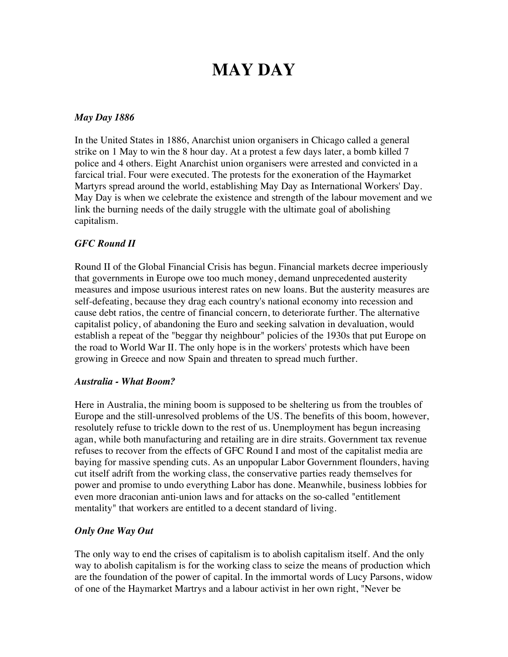# **MAY DAY**

#### *May Day 1886*

In the United States in 1886, Anarchist union organisers in Chicago called a general strike on 1 May to win the 8 hour day. At a protest a few days later, a bomb killed 7 police and 4 others. Eight Anarchist union organisers were arrested and convicted in a farcical trial. Four were executed. The protests for the exoneration of the Haymarket Martyrs spread around the world, establishing May Day as International Workers' Day. May Day is when we celebrate the existence and strength of the labour movement and we link the burning needs of the daily struggle with the ultimate goal of abolishing capitalism.

### *GFC Round II*

Round II of the Global Financial Crisis has begun. Financial markets decree imperiously that governments in Europe owe too much money, demand unprecedented austerity measures and impose usurious interest rates on new loans. But the austerity measures are self-defeating, because they drag each country's national economy into recession and cause debt ratios, the centre of financial concern, to deteriorate further. The alternative capitalist policy, of abandoning the Euro and seeking salvation in devaluation, would establish a repeat of the "beggar thy neighbour" policies of the 1930s that put Europe on the road to World War II. The only hope is in the workers' protests which have been growing in Greece and now Spain and threaten to spread much further.

#### *Australia - What Boom?*

Here in Australia, the mining boom is supposed to be sheltering us from the troubles of Europe and the still-unresolved problems of the US. The benefits of this boom, however, resolutely refuse to trickle down to the rest of us. Unemployment has begun increasing agan, while both manufacturing and retailing are in dire straits. Government tax revenue refuses to recover from the effects of GFC Round I and most of the capitalist media are baying for massive spending cuts. As an unpopular Labor Government flounders, having cut itself adrift from the working class, the conservative parties ready themselves for power and promise to undo everything Labor has done. Meanwhile, business lobbies for even more draconian anti-union laws and for attacks on the so-called "entitlement mentality" that workers are entitled to a decent standard of living.

#### *Only One Way Out*

The only way to end the crises of capitalism is to abolish capitalism itself. And the only way to abolish capitalism is for the working class to seize the means of production which are the foundation of the power of capital. In the immortal words of Lucy Parsons, widow of one of the Haymarket Martrys and a labour activist in her own right, "Never be